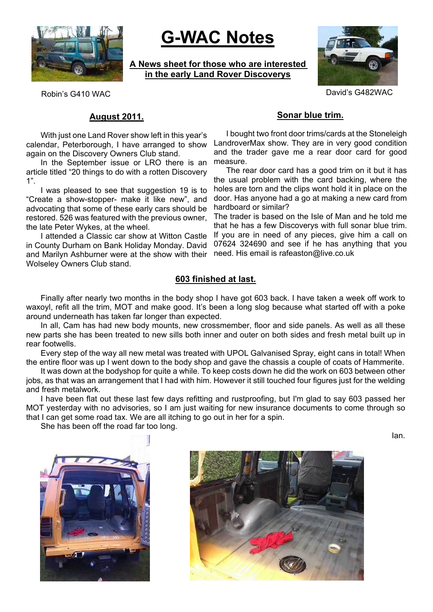

# **G-WAC Notes**

**A News sheet for those who are interested in the early Land Rover Discoverys**



Robin's G410 WAC **David's G482WAC** 

# **August 2011.**

With just one Land Rover show left in this year's calendar, Peterborough, I have arranged to show again on the Discovery Owners Club stand.

In the September issue or LRO there is an article titled "20 things to do with a rotten Discovery 1".

I was pleased to see that suggestion 19 is to "Create a show-stopper- make it like new", and advocating that some of these early cars should be restored. 526 was featured with the previous owner, the late Peter Wykes, at the wheel.

I attended a Classic car show at Witton Castle in County Durham on Bank Holiday Monday. David and Marilyn Ashburner were at the show with their Wolseley Owners Club stand.

# **Sonar blue trim.**

I bought two front door trims/cards at the Stoneleigh LandroverMax show. They are in very good condition and the trader gave me a rear door card for good measure.

The rear door card has a good trim on it but it has the usual problem with the card backing, where the holes are torn and the clips wont hold it in place on the door. Has anyone had a go at making a new card from hardboard or similar?

The trader is based on the Isle of Man and he told me that he has a few Discoverys with full sonar blue trim. If you are in need of any pieces, give him a call on 07624 324690 and see if he has anything that you need. His email is rafeaston@live.co.uk

# **603 finished at last.**

Finally after nearly two months in the body shop I have got 603 back. I have taken a week off work to waxoyl, refit all the trim, MOT and make good. It's been a long slog because what started off with a poke around underneath has taken far longer than expected.

In all, Cam has had new body mounts, new crossmember, floor and side panels. As well as all these new parts she has been treated to new sills both inner and outer on both sides and fresh metal built up in rear footwells.

Every step of the way all new metal was treated with UPOL Galvanised Spray, eight cans in total! When the entire floor was up I went down to the body shop and gave the chassis a couple of coats of Hammerite.

It was down at the bodyshop for quite a while. To keep costs down he did the work on 603 between other jobs, as that was an arrangement that I had with him. However it still touched four figures just for the welding and fresh metalwork.

I have been flat out these last few days refitting and rustproofing, but I'm glad to say 603 passed her MOT yesterday with no advisories, so I am just waiting for new insurance documents to come through so that I can get some road tax. We are all itching to go out in her for a spin.

She has been off the road far too long.

Ian.



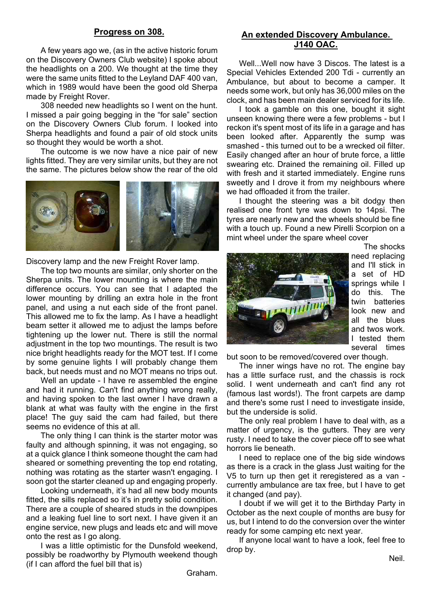#### **Progress on 308.**

A few years ago we, (as in the active historic forum on the Discovery Owners Club website) I spoke about the headlights on a 200. We thought at the time they were the same units fitted to the Leyland DAF 400 van, which in 1989 would have been the good old Sherpa made by Freight Rover.

308 needed new headlights so I went on the hunt. I missed a pair going begging in the "for sale" section on the Discovery Owners Club forum. I looked into Sherpa headlights and found a pair of old stock units so thought they would be worth a shot.

The outcome is we now have a nice pair of new lights fitted. They are very similar units, but they are not the same. The pictures below show the rear of the old



Discovery lamp and the new Freight Rover lamp.

The top two mounts are similar, only shorter on the Sherpa units. The lower mounting is where the main difference occurs. You can see that I adapted the lower mounting by drilling an extra hole in the front panel, and using a nut each side of the front panel. This allowed me to fix the lamp. As I have a headlight beam setter it allowed me to adjust the lamps before tightening up the lower nut. There is still the normal adjustment in the top two mountings. The result is two nice bright headlights ready for the MOT test. If I come by some genuine lights I will probably change them back, but needs must and no MOT means no trips out.

Well an update - I have re assembled the engine and had it running. Can't find anything wrong really, and having spoken to the last owner I have drawn a blank at what was faulty with the engine in the first place! The guy said the cam had failed, but there seems no evidence of this at all.

The only thing I can think is the starter motor was faulty and although spinning, it was not engaging, so at a quick glance I think someone thought the cam had sheared or something preventing the top end rotating, nothing was rotating as the starter wasn't engaging. I soon got the starter cleaned up and engaging properly.

Looking underneath, it's had all new body mounts fitted, the sills replaced so it's in pretty solid condition. There are a couple of sheared studs in the downpipes and a leaking fuel line to sort next. I have given it an engine service, new plugs and leads etc and will move onto the rest as I go along.

I was a little optimistic for the Dunsfold weekend, possibly be roadworthy by Plymouth weekend though (if I can afford the fuel bill that is)

## **An extended Discovery Ambulance. J140 OAC.**

Well...Well now have 3 Discos. The latest is a Special Vehicles Extended 200 Tdi - currently an Ambulance, but about to become a camper. It needs some work, but only has 36,000 miles on the clock, and has been main dealer serviced for its life.

I took a gamble on this one, bought it sight unseen knowing there were a few problems - but I reckon it's spent most of its life in a garage and has been looked after. Apparently the sump was smashed - this turned out to be a wrecked oil filter. Easily changed after an hour of brute force, a little swearing etc. Drained the remaining oil. Filled up with fresh and it started immediately. Engine runs sweetly and I drove it from my neighbours where we had offloaded it from the trailer.

I thought the steering was a bit dodgy then realised one front tyre was down to 14psi. The tyres are nearly new and the wheels should be fine with a touch up. Found a new Pirelli Scorpion on a mint wheel under the spare wheel cover



The shocks need replacing and I'll stick in a set of HD springs while I do this. The twin batteries look new and all the blues and twos work. I tested them several times

but soon to be removed/covered over though.

The inner wings have no rot. The engine bay has a little surface rust, and the chassis is rock solid. I went underneath and can't find any rot (famous last words!). The front carpets are damp and there's some rust I need to investigate inside, but the underside is solid.

The only real problem I have to deal with, as a matter of urgency, is the gutters. They are very rusty. I need to take the cover piece off to see what horrors lie beneath.

I need to replace one of the big side windows as there is a crack in the glass Just waiting for the V5 to turn up then get it reregistered as a van currently ambulance are tax free, but I have to get it changed (and pay).

I doubt if we will get it to the Birthday Party in October as the next couple of months are busy for us, but I intend to do the conversion over the winter ready for some camping etc next year.

If anyone local want to have a look, feel free to drop by.

Neil.

Graham.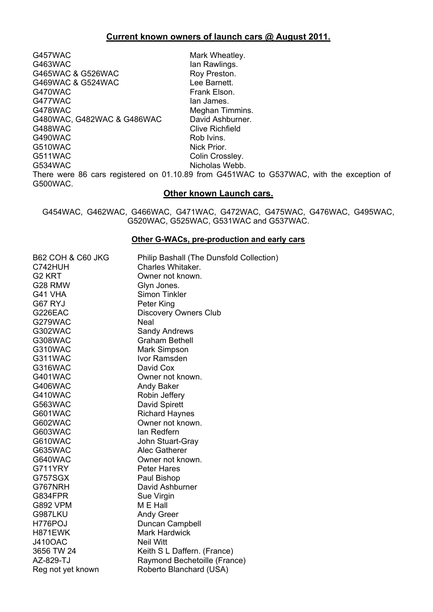# **Current known owners of launch cars @ August 2011.**

G457WAC Mark Wheatley. G463WAC Ian Rawlings. G465WAC & G526WAC Roy Preston. G469WAC & G524WAC Lee Barnett. G470WAC **Frank Elson.** G477WAC Ian James. G478WAC<br>G480WAC. G482WAC & G486WAC David Ashburner. G480WAC, G482WAC & G486WAC G488WAC Clive Richfield<br>G490WAC Rob Ivins. G490WAC G510WAC Nick Prior. G511WAC Colin Crossley. G534WAC Nicholas Webb. There were 86 cars registered on 01.10.89 from G451WAC to G537WAC, with the exception of G500WAC.

#### **Other known Launch cars.**

G454WAC, G462WAC, G466WAC, G471WAC, G472WAC, G475WAC, G476WAC, G495WAC, G520WAC, G525WAC, G531WAC and G537WAC.

#### **Other G-WACs, pre-production and early cars**

| <b>B62 COH &amp; C60 JKG</b> | Philip Bashall (The Dunsfold Collection) |
|------------------------------|------------------------------------------|
| C742HUH                      | Charles Whitaker.                        |
| G <sub>2</sub> KRT           | Owner not known.                         |
| G28 RMW                      | Glyn Jones.                              |
| G41 VHA                      | <b>Simon Tinkler</b>                     |
| G67 RYJ                      | Peter King                               |
| G226EAC                      | <b>Discovery Owners Club</b>             |
| G279WAC                      | Neal                                     |
| <b>G302WAC</b>               | <b>Sandy Andrews</b>                     |
| G308WAC                      | <b>Graham Bethell</b>                    |
| G310WAC                      | <b>Mark Simpson</b>                      |
| G311WAC                      | Ivor Ramsden                             |
| G316WAC                      | David Cox                                |
| <b>G401WAC</b>               | Owner not known.                         |
| G406WAC                      | Andy Baker                               |
| G410WAC                      | Robin Jeffery                            |
| G563WAC                      | David Spirett                            |
| G601WAC                      | <b>Richard Haynes</b>                    |
| G602WAC                      | Owner not known.                         |
| G603WAC                      | lan Redfern                              |
| G610WAC                      | John Stuart-Gray                         |
| <b>G635WAC</b>               | <b>Alec Gatherer</b>                     |
| G640WAC                      | Owner not known.                         |
| G711YRY                      | <b>Peter Hares</b>                       |
| G757SGX                      | Paul Bishop                              |
| G767NRH                      | David Ashburner                          |
| G834FPR                      | Sue Virgin                               |
| <b>G892 VPM</b>              | M E Hall                                 |
| G987LKU                      | <b>Andy Greer</b>                        |
| H776POJ                      | Duncan Campbell                          |
| H871EWK                      | <b>Mark Hardwick</b>                     |
| <b>J410OAC</b>               | <b>Neil Witt</b>                         |
| 3656 TW 24                   | Keith S L Daffern. (France)              |
| AZ-829-TJ                    | Raymond Bechetoille (France)             |
| Reg not yet known            | Roberto Blanchard (USA)                  |